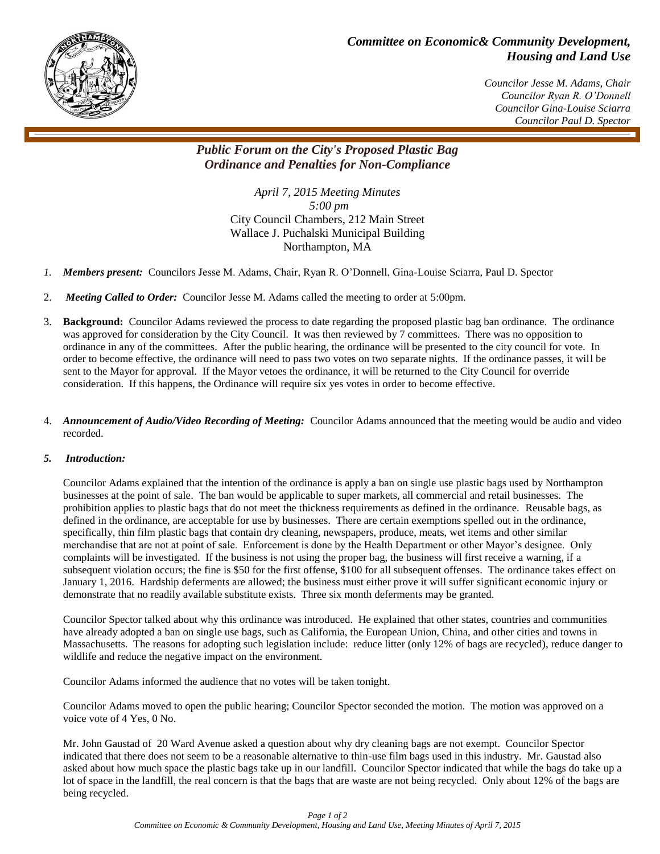

## *Committee on Economic& Community Development, Housing and Land Use*

 *Councilor Jesse M. Adams, Chair Councilor Ryan R. O'Donnell Councilor Gina-Louise Sciarra Councilor Paul D. Spector*

## *Public Forum on the City's Proposed Plastic Bag Ordinance and Penalties for Non-Compliance*

*April 7, 2015 Meeting Minutes 5:00 pm* City Council Chambers, 212 Main Street Wallace J. Puchalski Municipal Building Northampton, MA

- *1. Members present:* Councilors Jesse M. Adams, Chair, Ryan R. O'Donnell, Gina-Louise Sciarra, Paul D. Spector
- 2. *Meeting Called to Order:* Councilor Jesse M. Adams called the meeting to order at 5:00pm.
- 3. **Background:** Councilor Adams reviewed the process to date regarding the proposed plastic bag ban ordinance. The ordinance was approved for consideration by the City Council. It was then reviewed by 7 committees. There was no opposition to ordinance in any of the committees. After the public hearing, the ordinance will be presented to the city council for vote. In order to become effective, the ordinance will need to pass two votes on two separate nights. If the ordinance passes, it will be sent to the Mayor for approval. If the Mayor vetoes the ordinance, it will be returned to the City Council for override consideration. If this happens, the Ordinance will require six yes votes in order to become effective.
- 4. *Announcement of Audio/Video Recording of Meeting:* Councilor Adams announced that the meeting would be audio and video recorded.

## *5. Introduction:*

Councilor Adams explained that the intention of the ordinance is apply a ban on single use plastic bags used by Northampton businesses at the point of sale. The ban would be applicable to super markets, all commercial and retail businesses. The prohibition applies to plastic bags that do not meet the thickness requirements as defined in the ordinance. Reusable bags, as defined in the ordinance, are acceptable for use by businesses. There are certain exemptions spelled out in the ordinance, specifically, thin film plastic bags that contain dry cleaning, newspapers, produce, meats, wet items and other similar merchandise that are not at point of sale. Enforcement is done by the Health Department or other Mayor's designee. Only complaints will be investigated. If the business is not using the proper bag, the business will first receive a warning, if a subsequent violation occurs; the fine is \$50 for the first offense, \$100 for all subsequent offenses. The ordinance takes effect on January 1, 2016. Hardship deferments are allowed; the business must either prove it will suffer significant economic injury or demonstrate that no readily available substitute exists. Three six month deferments may be granted.

Councilor Spector talked about why this ordinance was introduced. He explained that other states, countries and communities have already adopted a ban on single use bags, such as California, the European Union, China, and other cities and towns in Massachusetts. The reasons for adopting such legislation include: reduce litter (only 12% of bags are recycled), reduce danger to wildlife and reduce the negative impact on the environment.

Councilor Adams informed the audience that no votes will be taken tonight.

Councilor Adams moved to open the public hearing; Councilor Spector seconded the motion. The motion was approved on a voice vote of 4 Yes, 0 No.

Mr. John Gaustad of 20 Ward Avenue asked a question about why dry cleaning bags are not exempt. Councilor Spector indicated that there does not seem to be a reasonable alternative to thin-use film bags used in this industry. Mr. Gaustad also asked about how much space the plastic bags take up in our landfill. Councilor Spector indicated that while the bags do take up a lot of space in the landfill, the real concern is that the bags that are waste are not being recycled. Only about 12% of the bags are being recycled.